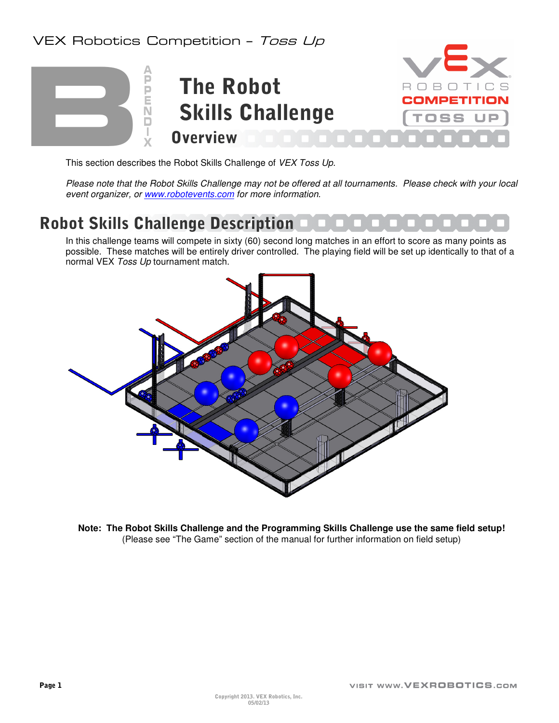### VEX Robotics Competition - Toss Up



This section describes the Robot Skills Challenge of VEX Toss Up.

Please note that the Robot Skills Challenge may not be offered at all tournaments. Please check with your local event organizer, or www.robotevents.com for more information.

### Robot Skills Challenge Description

In this challenge teams will compete in sixty (60) second long matches in an effort to score as many points as possible. These matches will be entirely driver controlled. The playing field will be set up identically to that of a normal VEX Toss Up tournament match.



**Note: The Robot Skills Challenge and the Programming Skills Challenge use the same field setup!** (Please see "The Game" section of the manual for further information on field setup)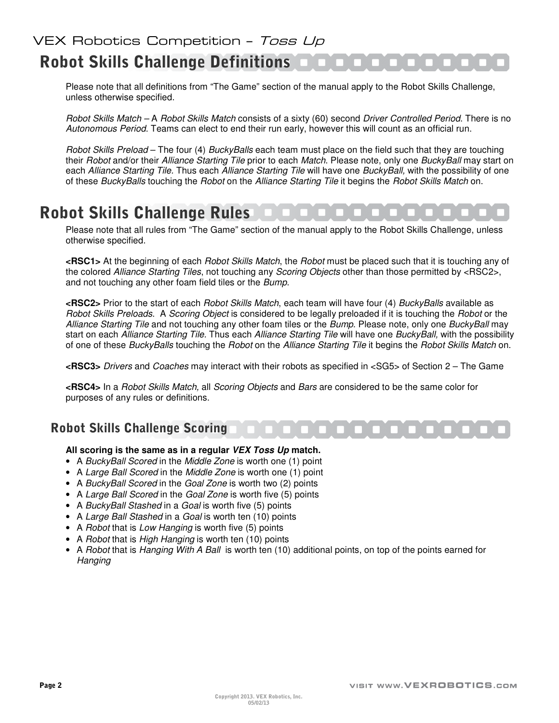# Robot Skills Challenge Definitions

Please note that all definitions from "The Game" section of the manual apply to the Robot Skills Challenge, unless otherwise specified.

Robot Skills Match – A Robot Skills Match consists of a sixty (60) second Driver Controlled Period. There is no Autonomous Period. Teams can elect to end their run early, however this will count as an official run.

Robot Skills Preload – The four (4) BuckyBalls each team must place on the field such that they are touching their Robot and/or their Alliance Starting Tile prior to each Match. Please note, only one BuckyBall may start on each Alliance Starting Tile. Thus each Alliance Starting Tile will have one BuckyBall, with the possibility of one of these BuckyBalls touching the Robot on the Alliance Starting Tile it begins the Robot Skills Match on.

### Robot Skills Challenge Rules

Please note that all rules from "The Game" section of the manual apply to the Robot Skills Challenge, unless otherwise specified.

**<RSC1>** At the beginning of each Robot Skills Match, the Robot must be placed such that it is touching any of the colored Alliance Starting Tiles, not touching any Scoring Objects other than those permitted by <RSC2>, and not touching any other foam field tiles or the Bump.

**<RSC2>** Prior to the start of each Robot Skills Match, each team will have four (4) BuckyBalls available as Robot Skills Preloads. A Scoring Object is considered to be legally preloaded if it is touching the Robot or the Alliance Starting Tile and not touching any other foam tiles or the Bump. Please note, only one BuckyBall may start on each Alliance Starting Tile. Thus each Alliance Starting Tile will have one BuckyBall, with the possibility of one of these BuckyBalls touching the Robot on the Alliance Starting Tile it begins the Robot Skills Match on.

**<RSC3>** Drivers and Coaches may interact with their robots as specified in <SG5> of Section 2 – The Game

**<RSC4>** In a Robot Skills Match, all Scoring Objects and Bars are considered to be the same color for purposes of any rules or definitions.

#### Robot Skills Challenge Scoring

#### **All scoring is the same as in a regular VEX Toss Up match.**

- A BuckyBall Scored in the Middle Zone is worth one (1) point
- A Large Ball Scored in the Middle Zone is worth one (1) point
- A BuckyBall Scored in the Goal Zone is worth two (2) points
- A Large Ball Scored in the Goal Zone is worth five (5) points
- A Bucky Ball Stashed in a Goal is worth five (5) points
- A Large Ball Stashed in a Goal is worth ten (10) points
- A Robot that is Low Hanging is worth five (5) points
- A Robot that is High Hanging is worth ten (10) points
- A Robot that is Hanging With A Ball is worth ten (10) additional points, on top of the points earned for **Hanging**